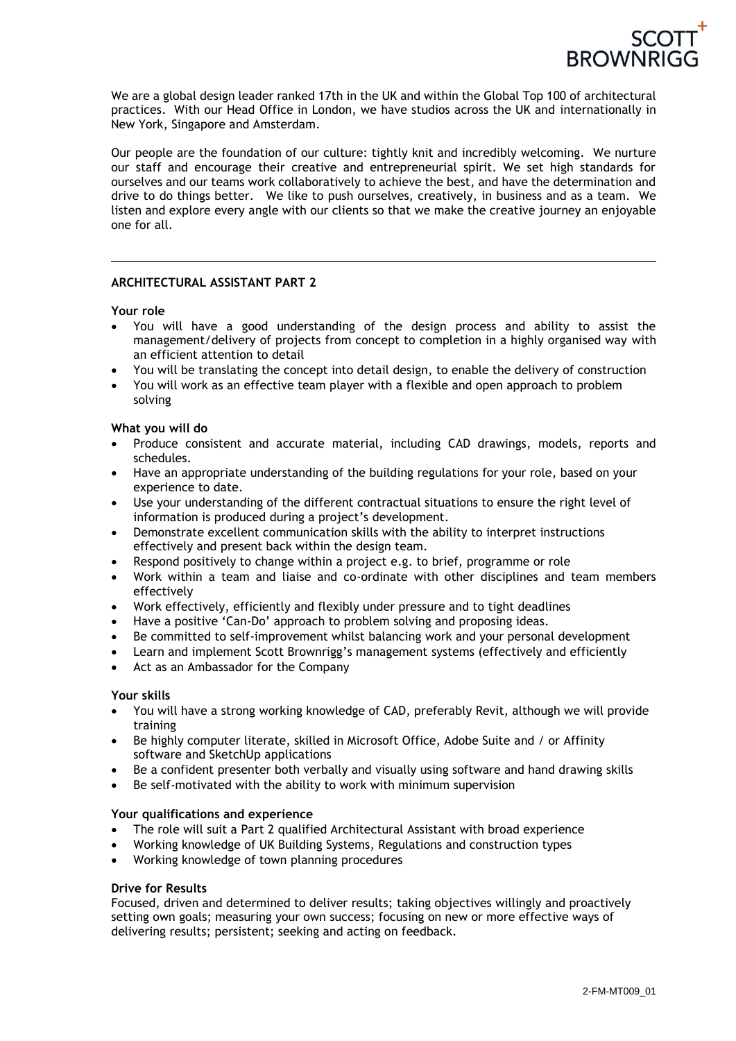

We are a global design leader ranked 17th in the UK and within the Global Top 100 of architectural practices. With our Head Office in London, we have studios across the UK and internationally in New York, Singapore and Amsterdam.

Our people are the foundation of our culture: tightly knit and incredibly welcoming. We nurture our staff and encourage their creative and entrepreneurial spirit. We set high standards for ourselves and our teams work collaboratively to achieve the best, and have the determination and drive to do things better. We like to push ourselves, creatively, in business and as a team. We listen and explore every angle with our clients so that we make the creative journey an enjoyable one for all.

# **ARCHITECTURAL ASSISTANT PART 2**

# **Your role**

- You will have a good understanding of the design process and ability to assist the management/delivery of projects from concept to completion in a highly organised way with an efficient attention to detail
- You will be translating the concept into detail design, to enable the delivery of construction
- You will work as an effective team player with a flexible and open approach to problem solving

# **What you will do**

- Produce consistent and accurate material, including CAD drawings, models, reports and schedules.
- Have an appropriate understanding of the building regulations for your role, based on your experience to date.
- Use your understanding of the different contractual situations to ensure the right level of information is produced during a project's development.
- Demonstrate excellent communication skills with the ability to interpret instructions effectively and present back within the design team.
- Respond positively to change within a project e.g. to brief, programme or role
- Work within a team and liaise and co-ordinate with other disciplines and team members effectively
- Work effectively, efficiently and flexibly under pressure and to tight deadlines
- Have a positive 'Can-Do' approach to problem solving and proposing ideas.
- Be committed to self-improvement whilst balancing work and your personal development
- Learn and implement Scott Brownrigg's management systems (effectively and efficiently
- Act as an Ambassador for the Company

# **Your skills**

- You will have a strong working knowledge of CAD, preferably Revit, although we will provide training
- Be highly computer literate, skilled in Microsoft Office, Adobe Suite and / or Affinity software and SketchUp applications
- Be a confident presenter both verbally and visually using software and hand drawing skills
- Be self-motivated with the ability to work with minimum supervision

# **Your qualifications and experience**

- The role will suit a Part 2 qualified Architectural Assistant with broad experience
- Working knowledge of UK Building Systems, Regulations and construction types
- Working knowledge of town planning procedures

#### **Drive for Results**

Focused, driven and determined to deliver results; taking objectives willingly and proactively setting own goals; measuring your own success; focusing on new or more effective ways of delivering results; persistent; seeking and acting on feedback.